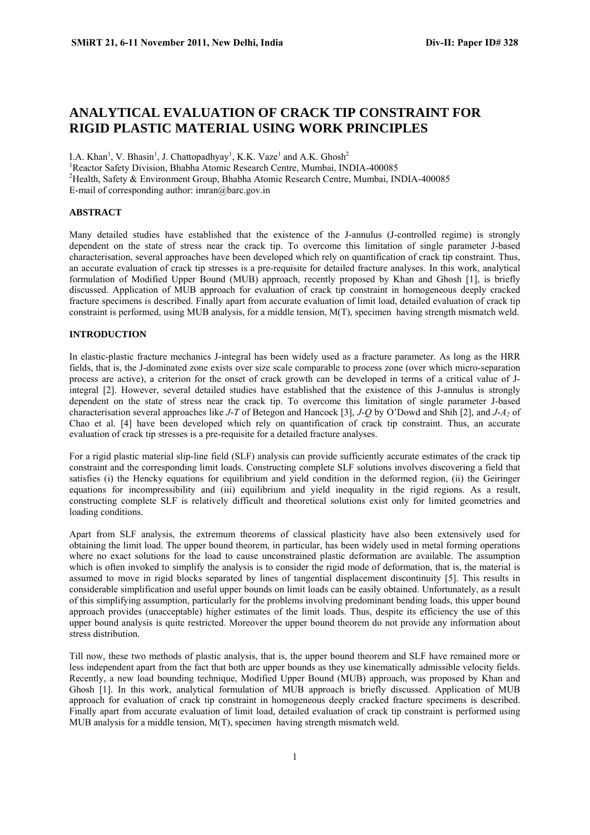# **ANALYTICAL EVALUATION OF CRACK TIP CONSTRAINT FOR RIGID PLASTIC MATERIAL USING WORK PRINCIPLES**

I.A. Khan<sup>1</sup>, V. Bhasin<sup>1</sup>, J. Chattopadhyay<sup>1</sup>, K.K. Vaze<sup>1</sup> and A.K. Ghosh<sup>2</sup> <sup>1</sup> Reactor Safety Division, Bhabha Atomic Research Centre, Mumbai, INDIA-400085 2 Health, Safety & Environment Group, Bhabha Atomic Research Centre, Mumbai, INDIA-400085 E-mail of corresponding author: imran@barc.gov.in

## **ABSTRACT**

Many detailed studies have established that the existence of the J-annulus (J-controlled regime) is strongly dependent on the state of stress near the crack tip. To overcome this limitation of single parameter J-based characterisation, several approaches have been developed which rely on quantification of crack tip constraint. Thus, an accurate evaluation of crack tip stresses is a pre-requisite for detailed fracture analyses. In this work, analytical formulation of Modified Upper Bound (MUB) approach, recently proposed by Khan and Ghosh [1], is briefly discussed. Application of MUB approach for evaluation of crack tip constraint in homogeneous deeply cracked fracture specimens is described. Finally apart from accurate evaluation of limit load, detailed evaluation of crack tip constraint is performed, using MUB analysis, for a middle tension, M(T), specimen having strength mismatch weld.

### **INTRODUCTION**

In elastic-plastic fracture mechanics J-integral has been widely used as a fracture parameter. As long as the HRR fields, that is, the J-dominated zone exists over size scale comparable to process zone (over which micro-separation process are active), a criterion for the onset of crack growth can be developed in terms of a critical value of Jintegral [2]. However, several detailed studies have established that the existence of this J-annulus is strongly dependent on the state of stress near the crack tip. To overcome this limitation of single parameter J-based characterisation several approaches like *J*-*T* of Betegon and Hancock [3], *J-Q* by O'Dowd and Shih [2], and *J*-*A2* of Chao et al. [4] have been developed which rely on quantification of crack tip constraint. Thus, an accurate evaluation of crack tip stresses is a pre-requisite for a detailed fracture analyses.

For a rigid plastic material slip-line field (SLF) analysis can provide sufficiently accurate estimates of the crack tip constraint and the corresponding limit loads. Constructing complete SLF solutions involves discovering a field that satisfies (i) the Hencky equations for equilibrium and yield condition in the deformed region, (ii) the Geiringer equations for incompressibility and (iii) equilibrium and yield inequality in the rigid regions. As a result, constructing complete SLF is relatively difficult and theoretical solutions exist only for limited geometries and loading conditions.

Apart from SLF analysis, the extremum theorems of classical plasticity have also been extensively used for obtaining the limit load. The upper bound theorem, in particular, has been widely used in metal forming operations where no exact solutions for the load to cause unconstrained plastic deformation are available. The assumption which is often invoked to simplify the analysis is to consider the rigid mode of deformation, that is, the material is assumed to move in rigid blocks separated by lines of tangential displacement discontinuity [5]. This results in considerable simplification and useful upper bounds on limit loads can be easily obtained. Unfortunately, as a result of this simplifying assumption, particularly for the problems involving predominant bending loads, this upper bound approach provides (unacceptable) higher estimates of the limit loads. Thus, despite its efficiency the use of this upper bound analysis is quite restricted. Moreover the upper bound theorem do not provide any information about stress distribution.

Till now, these two methods of plastic analysis, that is, the upper bound theorem and SLF have remained more or less independent apart from the fact that both are upper bounds as they use kinematically admissible velocity fields. Recently, a new load bounding technique, Modified Upper Bound (MUB) approach, was proposed by Khan and Ghosh [1]. In this work, analytical formulation of MUB approach is briefly discussed. Application of MUB approach for evaluation of crack tip constraint in homogeneous deeply cracked fracture specimens is described. Finally apart from accurate evaluation of limit load, detailed evaluation of crack tip constraint is performed using MUB analysis for a middle tension, M(T), specimen having strength mismatch weld.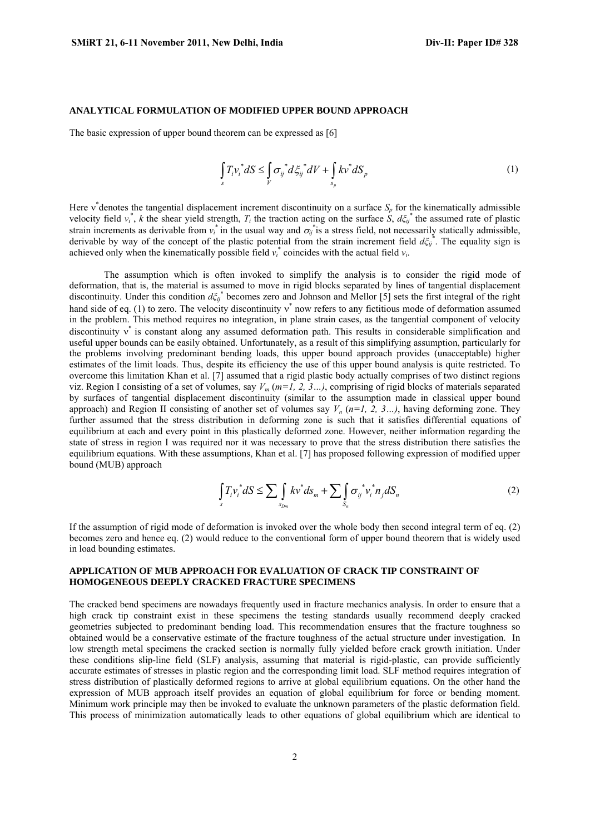#### **ANALYTICAL FORMULATION OF MODIFIED UPPER BOUND APPROACH**

The basic expression of upper bound theorem can be expressed as [6]

$$
\int_{s} T_{i} \nu_{i}^{*} dS \leq \int_{V} \sigma_{ij}^{*} d\xi_{ij}^{*} dV + \int_{s_{p}} k \nu^{*} dS_{p}
$$
\n(1)

Here  $v^*$  denotes the tangential displacement increment discontinuity on a surface  $S_p$  for the kinematically admissible velocity field  $v_i^*$ , *k* the shear yield strength,  $T_i$  the traction acting on the surface  $\dot{S}$ ,  $d\xi_{ij}^*$  the assumed rate of plastic strain increments as derivable from  $v_i^*$  in the usual way and  $\sigma_{ij}^*$  is a stress field, not necessarily statically admissible, derivable by way of the concept of the plastic potential from the strain increment field  $d\zeta_{ij}^*$ . The equality sign is achieved only when the kinematically possible field  $v_i^*$  coincides with the actual field  $v_i$ .

The assumption which is often invoked to simplify the analysis is to consider the rigid mode of deformation, that is, the material is assumed to move in rigid blocks separated by lines of tangential displacement discontinuity. Under this condition  $d\xi_{ij}^*$  becomes zero and Johnson and Mellor [5] sets the first integral of the right hand side of eq. (1) to zero. The velocity discontinuity  $v^*$  now refers to any fictitious mode of deformation assumed in the problem. This method requires no integration, in plane strain cases, as the tangential component of velocity discontinuity  $v^*$  is constant along any assumed deformation path. This results in considerable simplification and useful upper bounds can be easily obtained. Unfortunately, as a result of this simplifying assumption, particularly for the problems involving predominant bending loads, this upper bound approach provides (unacceptable) higher estimates of the limit loads. Thus, despite its efficiency the use of this upper bound analysis is quite restricted. To overcome this limitation Khan et al. [7] assumed that a rigid plastic body actually comprises of two distinct regions viz. Region I consisting of a set of volumes, say *Vm* (*m=1, 2, 3…)*, comprising of rigid blocks of materials separated by surfaces of tangential displacement discontinuity (similar to the assumption made in classical upper bound approach) and Region II consisting of another set of volumes say  $V_n$  ( $n=1, 2, 3...$ ), having deforming zone. They further assumed that the stress distribution in deforming zone is such that it satisfies differential equations of equilibrium at each and every point in this plastically deformed zone. However, neither information regarding the state of stress in region I was required nor it was necessary to prove that the stress distribution there satisfies the equilibrium equations. With these assumptions, Khan et al. [7] has proposed following expression of modified upper bound (MUB) approach

$$
\int_{S} T_i v_i^* dS \le \sum_{S_{Dm}} \int_{S_{Dm}} k v^* dS_m + \sum_{S_n} \int_{S_n} \sigma_{ij}^* v_i^* n_j dS_n \tag{2}
$$

If the assumption of rigid mode of deformation is invoked over the whole body then second integral term of eq. (2) becomes zero and hence eq. (2) would reduce to the conventional form of upper bound theorem that is widely used in load bounding estimates.

#### **APPLICATION OF MUB APPROACH FOR EVALUATION OF CRACK TIP CONSTRAINT OF HOMOGENEOUS DEEPLY CRACKED FRACTURE SPECIMENS**

The cracked bend specimens are nowadays frequently used in fracture mechanics analysis. In order to ensure that a high crack tip constraint exist in these specimens the testing standards usually recommend deeply cracked geometries subjected to predominant bending load. This recommendation ensures that the fracture toughness so obtained would be a conservative estimate of the fracture toughness of the actual structure under investigation. In low strength metal specimens the cracked section is normally fully yielded before crack growth initiation. Under these conditions slip-line field (SLF) analysis, assuming that material is rigid-plastic, can provide sufficiently accurate estimates of stresses in plastic region and the corresponding limit load. SLF method requires integration of stress distribution of plastically deformed regions to arrive at global equilibrium equations. On the other hand the expression of MUB approach itself provides an equation of global equilibrium for force or bending moment. Minimum work principle may then be invoked to evaluate the unknown parameters of the plastic deformation field. This process of minimization automatically leads to other equations of global equilibrium which are identical to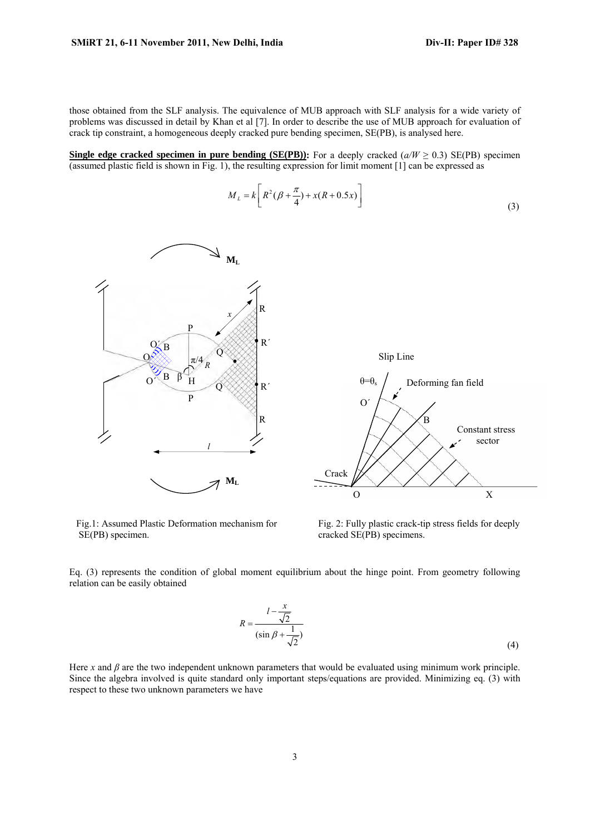those obtained from the SLF analysis. The equivalence of MUB approach with SLF analysis for a wide variety of problems was discussed in detail by Khan et al [7]. In order to describe the use of MUB approach for evaluation of crack tip constraint, a homogeneous deeply cracked pure bending specimen, SE(PB), is analysed here.

**Single edge cracked specimen in pure bending (SE(PB)):** For a deeply cracked  $(a/W \ge 0.3)$  SE(PB) specimen (assumed plastic field is shown in Fig. 1), the resulting expression for limit moment [1] can be expressed as

$$
M_{L} = k \left[ R^{2} (\beta + \frac{\pi}{4}) + x(R + 0.5x) \right]
$$
\n(3)



Fig.1: Assumed Plastic Deformation mechanism for SE(PB) specimen.

Fig. 2: Fully plastic crack-tip stress fields for deeply cracked SE(PB) specimens.

Eq. (3) represents the condition of global moment equilibrium about the hinge point. From geometry following relation can be easily obtained

$$
R = \frac{l - \frac{x}{\sqrt{2}}}{(\sin \beta + \frac{1}{\sqrt{2}})}
$$
(4)

Here *x* and  $\beta$  are the two independent unknown parameters that would be evaluated using minimum work principle. Since the algebra involved is quite standard only important steps/equations are provided. Minimizing eq. (3) with respect to these two unknown parameters we have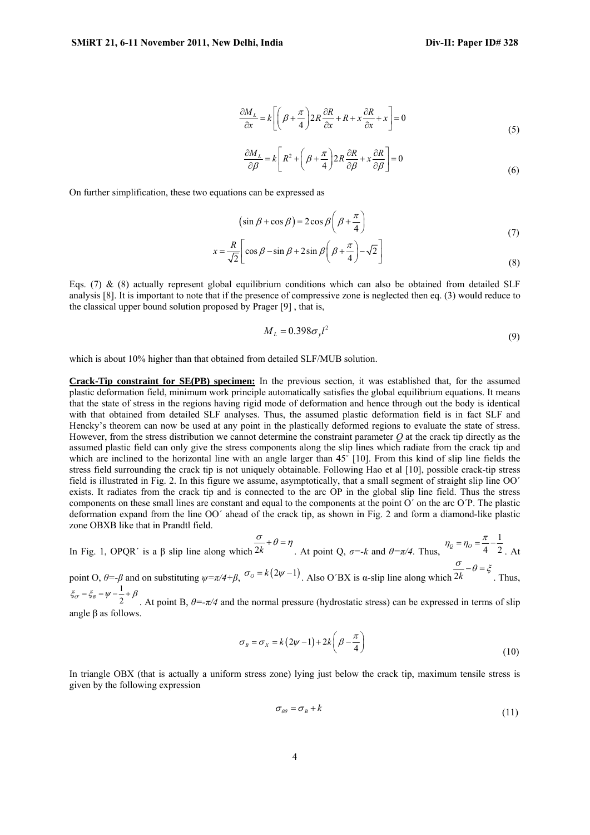$$
\frac{\partial M_L}{\partial x} = k \left[ \left( \beta + \frac{\pi}{4} \right) 2R \frac{\partial R}{\partial x} + R + x \frac{\partial R}{\partial x} + x \right] = 0
$$
\n(5)

$$
\frac{\partial M_L}{\partial \beta} = k \left[ R^2 + \left( \beta + \frac{\pi}{4} \right) 2R \frac{\partial R}{\partial \beta} + x \frac{\partial R}{\partial \beta} \right] = 0
$$
\n(6)

On further simplification, these two equations can be expressed as

$$
(\sin \beta + \cos \beta) = 2\cos \beta \left(\beta + \frac{\pi}{4}\right)
$$
\n(7)

$$
x = \frac{R}{\sqrt{2}} \left[ \cos \beta - \sin \beta + 2 \sin \beta \left( \beta + \frac{\pi}{4} \right) - \sqrt{2} \right]
$$
(8)

Eqs. (7)  $\&$  (8) actually represent global equilibrium conditions which can also be obtained from detailed SLF analysis [8]. It is important to note that if the presence of compressive zone is neglected then eq. (3) would reduce to the classical upper bound solution proposed by Prager [9] , that is,

$$
M_L = 0.398 \sigma_y l^2 \tag{9}
$$

which is about 10% higher than that obtained from detailed SLF/MUB solution.

**Crack-Tip constraint for SE(PB) specimen:** In the previous section, it was established that, for the assumed plastic deformation field, minimum work principle automatically satisfies the global equilibrium equations. It means that the state of stress in the regions having rigid mode of deformation and hence through out the body is identical with that obtained from detailed SLF analyses. Thus, the assumed plastic deformation field is in fact SLF and Hencky's theorem can now be used at any point in the plastically deformed regions to evaluate the state of stress. However, from the stress distribution we cannot determine the constraint parameter *Q* at the crack tip directly as the assumed plastic field can only give the stress components along the slip lines which radiate from the crack tip and which are inclined to the horizontal line with an angle larger than 45° [10]. From this kind of slip line fields the stress field surrounding the crack tip is not uniquely obtainable. Following Hao et al [10], possible crack-tip stress field is illustrated in Fig. 2. In this figure we assume, asymptotically, that a small segment of straight slip line OO΄ exists. It radiates from the crack tip and is connected to the arc OP in the global slip line field. Thus the stress components on these small lines are constant and equal to the components at the point O΄ on the arc O΄P. The plastic deformation expand from the line OO΄ ahead of the crack tip, as shown in Fig. 2 and form a diamond-like plastic zone OBXB like that in Prandtl field.

In Fig. 1, OPQR΄ is a β slip line along which 2*k*  $\frac{\sigma}{\sigma} + \theta = \eta$ . At point Q,  $\sigma = -k$  and  $\theta = \pi/4$ . Thus, 1  $\frac{1}{2}$  *Q*  $-$  *No*  $-\frac{1}{4}$   $\frac{1}{2}$  $n_Q = n_O = \frac{\pi}{4} - \frac{1}{2}$ . At

point O,  $\theta = -\beta$  and on substituting  $\psi = \pi/4 + \beta$ ,  $\sigma_o = k(2\psi - 1)$ . Also O'BX is α-slip line along which  $\frac{\sigma}{2k} - \theta = \xi$ . Thus,  $\zeta_{0} = \zeta_{B} = \psi - \frac{1}{2} + \beta$ . At point B,  $\theta = -\frac{\pi}{4}$  and the normal pressure (hydrostatic stress) can be expressed in terms of slip

angle β as follows.

$$
\sigma_B = \sigma_X = k(2\psi - 1) + 2k\left(\beta - \frac{\pi}{4}\right)
$$
\n(10)

In triangle OBX (that is actually a uniform stress zone) lying just below the crack tip, maximum tensile stress is given by the following expression

$$
\sigma_{\theta\theta} = \sigma_B + k \tag{11}
$$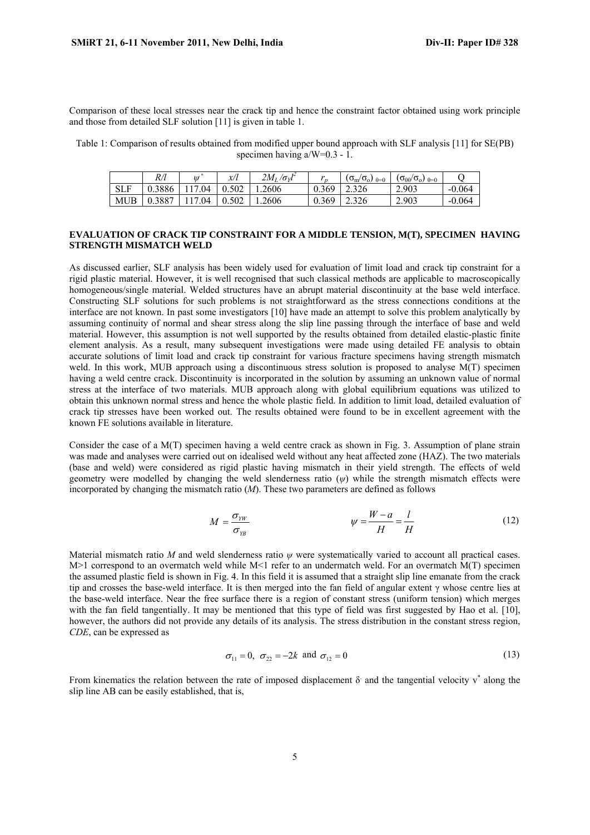Comparison of these local stresses near the crack tip and hence the constraint factor obtained using work principle and those from detailed SLF solution [11] is given in table 1.

Table 1: Comparison of results obtained from modified upper bound approach with SLF analysis [11] for SE(PB) specimen having  $a/W=0.3 - 1$ .

|            | R/l    | $^{\prime\prime}$ | x/l   | 14<br>$2M_I/\sigma_{V}l$ | $\mathbf{A}$<br>$\overline{r}$ | $(\sigma_{\rm m}/\sigma_{\rm o})$<br>$\theta = 0$ | $(\sigma_{\theta\theta}/\sigma_o)$ $_{\theta=0}$ |          |
|------------|--------|-------------------|-------|--------------------------|--------------------------------|---------------------------------------------------|--------------------------------------------------|----------|
| <b>SLF</b> | 0.3886 | 04                | 0.502 | 1.2606                   | 0.369                          | 2.326                                             | 2.903                                            | $-0.064$ |
| <b>MUB</b> | 0.3887 | .04               | 0.502 | 1.2606                   | 0.369                          | 2.326                                             | 2.903                                            | $-0.064$ |

#### **EVALUATION OF CRACK TIP CONSTRAINT FOR A MIDDLE TENSION, M(T), SPECIMEN HAVING STRENGTH MISMATCH WELD**

As discussed earlier, SLF analysis has been widely used for evaluation of limit load and crack tip constraint for a rigid plastic material. However, it is well recognised that such classical methods are applicable to macroscopically homogeneous/single material. Welded structures have an abrupt material discontinuity at the base weld interface. Constructing SLF solutions for such problems is not straightforward as the stress connections conditions at the interface are not known. In past some investigators [10] have made an attempt to solve this problem analytically by assuming continuity of normal and shear stress along the slip line passing through the interface of base and weld material. However, this assumption is not well supported by the results obtained from detailed elastic-plastic finite element analysis. As a result, many subsequent investigations were made using detailed FE analysis to obtain accurate solutions of limit load and crack tip constraint for various fracture specimens having strength mismatch weld. In this work, MUB approach using a discontinuous stress solution is proposed to analyse M(T) specimen having a weld centre crack. Discontinuity is incorporated in the solution by assuming an unknown value of normal stress at the interface of two materials. MUB approach along with global equilibrium equations was utilized to obtain this unknown normal stress and hence the whole plastic field. In addition to limit load, detailed evaluation of crack tip stresses have been worked out. The results obtained were found to be in excellent agreement with the known FE solutions available in literature.

Consider the case of a M(T) specimen having a weld centre crack as shown in Fig. 3. Assumption of plane strain was made and analyses were carried out on idealised weld without any heat affected zone (HAZ). The two materials (base and weld) were considered as rigid plastic having mismatch in their yield strength. The effects of weld geometry were modelled by changing the weld slenderness ratio (*ψ*) while the strength mismatch effects were incorporated by changing the mismatch ratio (*M*). These two parameters are defined as follows

$$
M = \frac{\sigma_{yy}}{\sigma_{yy}} \qquad \psi = \frac{W - a}{H} = \frac{l}{H} \qquad (12)
$$

Material mismatch ratio *M* and weld slenderness ratio *ψ* were systematically varied to account all practical cases. M>1 correspond to an overmatch weld while M<1 refer to an undermatch weld. For an overmatch M(T) specimen the assumed plastic field is shown in Fig. 4. In this field it is assumed that a straight slip line emanate from the crack tip and crosses the base-weld interface. It is then merged into the fan field of angular extent γ whose centre lies at the base-weld interface. Near the free surface there is a region of constant stress (uniform tension) which merges with the fan field tangentially. It may be mentioned that this type of field was first suggested by Hao et al. [10], however, the authors did not provide any details of its analysis. The stress distribution in the constant stress region, *CDE*, can be expressed as

$$
\sigma_{11} = 0
$$
,  $\sigma_{22} = -2k$  and  $\sigma_{12} = 0$  (13)

From kinematics the relation between the rate of imposed displacement  $\delta$  and the tangential velocity  $v^*$  along the slip line AB can be easily established, that is,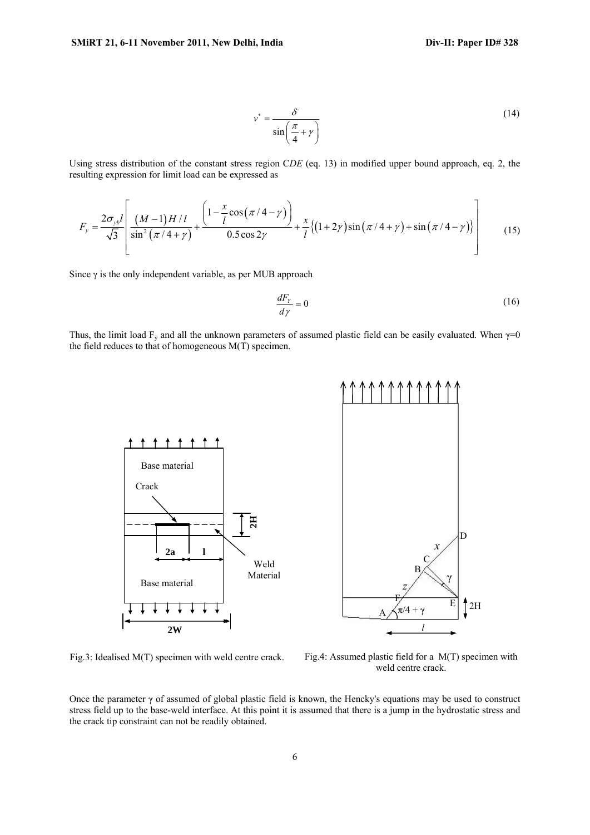$$
v^* = \frac{\delta}{\sin\left(\frac{\pi}{4} + \gamma\right)}\tag{14}
$$

Using stress distribution of the constant stress region C*DE* (eq. 13) in modified upper bound approach, eq. 2, the resulting expression for limit load can be expressed as

$$
F_y = \frac{2\sigma_{yb}l}{\sqrt{3}} \left[ \frac{(M-1)H/l}{\sin^2(\pi/4+\gamma)} + \frac{\left(1-\frac{x}{l}\cos(\pi/4-\gamma)\right)}{0.5\cos 2\gamma} + \frac{x}{l}\left\{(1+2\gamma)\sin(\pi/4+\gamma) + \sin(\pi/4-\gamma)\right\} \right] \tag{15}
$$

Since  $\gamma$  is the only independent variable, as per MUB approach

$$
\frac{dF_{\gamma}}{d\gamma} = 0\tag{16}
$$

Thus, the limit load F<sub>y</sub> and all the unknown parameters of assumed plastic field can be easily evaluated. When  $\gamma=0$ the field reduces to that of homogeneous M(T) specimen.



Fig.3: Idealised M(T) specimen with weld centre crack.

Fig.4: Assumed plastic field for a M(T) specimen with weld centre crack.

Once the parameter γ of assumed of global plastic field is known, the Hencky's equations may be used to construct stress field up to the base-weld interface. At this point it is assumed that there is a jump in the hydrostatic stress and the crack tip constraint can not be readily obtained.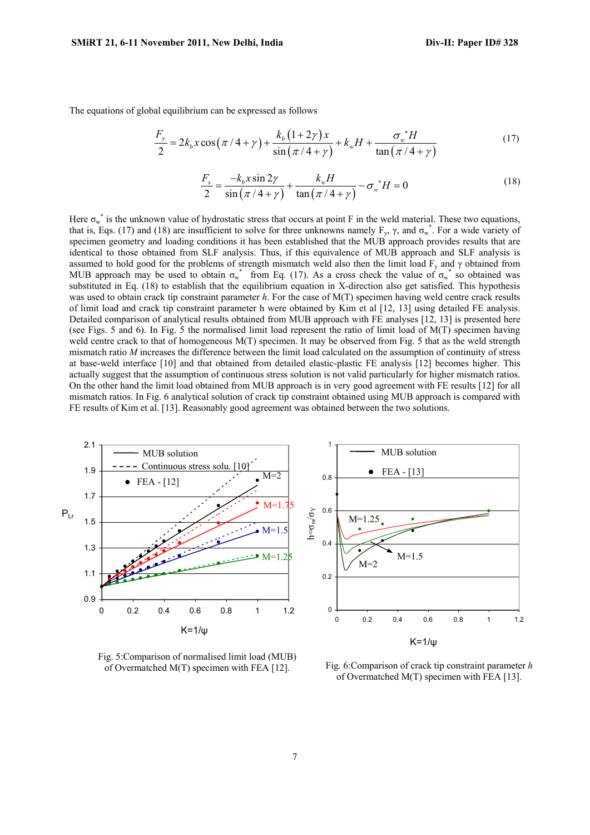The equations of global equilibrium can be expressed as follows

$$
\frac{F_y}{2} = 2k_b x \cos(\pi/4 + \gamma) + \frac{k_b (1 + 2\gamma) x}{\sin(\pi/4 + \gamma)} + k_w H + \frac{\sigma_w^* H}{\tan(\pi/4 + \gamma)}
$$
(17)

$$
\frac{F_x}{2} = \frac{-k_b x \sin 2\gamma}{\sin(\pi/4 + \gamma)} + \frac{k_w H}{\tan(\pi/4 + \gamma)} - \sigma_w^* H = 0
$$
\n(18)

Here  $\sigma_w^*$  is the unknown value of hydrostatic stress that occurs at point F in the weld material. These two equations, that is, Eqs. (17) and (18) are insufficient to solve for three unknowns namely  $F_y$ ,  $\gamma$ , and  $\sigma_w^*$ . For a wide variety of specimen geometry and loading conditions it has been established that the MUB approach provides results that are identical to those obtained from SLF analysis. Thus, if this equivalence of MUB approach and SLF analysis is assumed to hold good for the problems of strength mismatch weld also then the limit load  $F_v$  and  $\gamma$  obtained from MUB approach may be used to obtain  $\sigma_w^*$  from Eq. (17). As a cross check the value of  $\sigma_w^*$  so obtained was substituted in Eq. (18) to establish that the equilibrium equation in X-direction also get satisfied. This hypothesis was used to obtain crack tip constraint parameter *h*. For the case of M(T) specimen having weld centre crack results of limit load and crack tip constraint parameter h were obtained by Kim et al [12, 13] using detailed FE analysis. Detailed comparison of analytical results obtained from MUB approach with FE analyses [12, 13] is presented here (see Figs. 5 and 6). In Fig. 5 the normalised limit load represent the ratio of limit load of M(T) specimen having weld centre crack to that of homogeneous M(T) specimen. It may be observed from Fig. 5 that as the weld strength mismatch ratio *M* increases the difference between the limit load calculated on the assumption of continuity of stress at base-weld interface [10] and that obtained from detailed elastic-plastic FE analysis [12] becomes higher. This actually suggest that the assumption of continuous stress solution is not valid particularly for higher mismatch ratios. On the other hand the limit load obtained from MUB approach is in very good agreement with FE results [12] for all mismatch ratios. In Fig. 6 analytical solution of crack tip constraint obtained using MUB approach is compared with FE results of Kim et al. [13]. Reasonably good agreement was obtained between the two solutions.



Fig. 5:Comparison of normalised limit load (MUB) of Overmatched M(T) specimen with FEA [12].